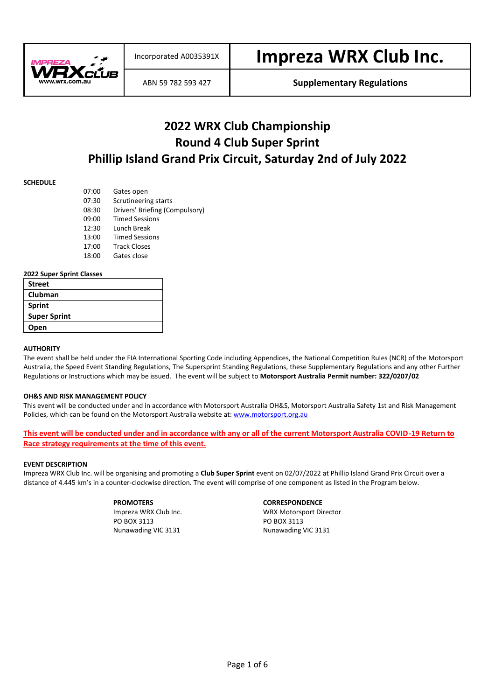

ABN 59 782 593 427 **Supplementary Regulations**

### **2022 WRX Club Championship Round 4 Club Super Sprint Phillip Island Grand Prix Circuit, Saturday 2nd of July 2022**

#### **SCHEDULE**

| 07:00 | Gates open                     |
|-------|--------------------------------|
| 07:30 | Scrutineering starts           |
| 08:30 | Drivers' Briefing (Compulsory) |
| 09:00 | <b>Timed Sessions</b>          |
| 12:30 | Lunch Break                    |
| 13:00 | <b>Timed Sessions</b>          |
| 17:00 | <b>Track Closes</b>            |
| 18:00 | Gates close                    |

#### **2022 Super Sprint Classes**

| <b>Street</b>       |  |
|---------------------|--|
| Clubman             |  |
| Sprint              |  |
| <b>Super Sprint</b> |  |
| Open                |  |

#### **AUTHORITY**

The event shall be held under the FIA International Sporting Code including Appendices, the National Competition Rules (NCR) of the Motorsport Australia, the Speed Event Standing Regulations, The Supersprint Standing Regulations, these Supplementary Regulations and any other Further Regulations or Instructions which may be issued. The event will be subject to **Motorsport Australia Permit number: 322/0207/02**

#### **OH&S AND RISK MANAGEMENT POLICY**

This event will be conducted under and in accordance with Motorsport Australia OH&S, Motorsport Australia Safety 1st and Risk Management Policies, which can be found on the Motorsport Australia website at: [www.motorsport.org.au](http://www.motorsport.org.au/)

**This event will be conducted under and in accordance with any or all of the current Motorsport Australia COVID-19 Return to Race strategy requirements at the time of this event.**

#### **EVENT DESCRIPTION**

Impreza WRX Club Inc. will be organising and promoting a **Club Super Sprint** event on 02/07/2022 at Phillip Island Grand Prix Circuit over a distance of 4.445 km's in a counter-clockwise direction. The event will comprise of one component as listed in the Program below.

PO BOX 3113 PO BOX 3113 Nunawading VIC 3131 Nunawading VIC 3131

#### **PROMOTERS CORRESPONDENCE**

Impreza WRX Club Inc. WRX Motorsport Director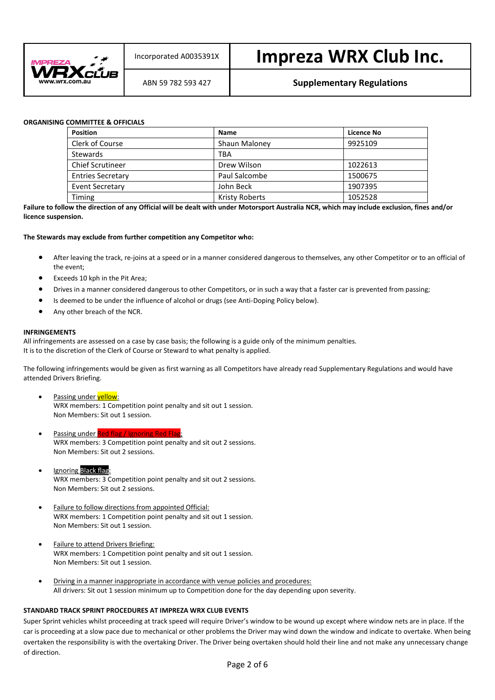

#### ABN 59 782 593 427 **Supplementary Regulations**

#### **ORGANISING COMMITTEE & OFFICIALS**

| <b>Position</b>          | <b>Name</b>    | Licence No |
|--------------------------|----------------|------------|
| Clerk of Course          | Shaun Maloney  | 9925109    |
| <b>Stewards</b>          | TBA            |            |
| <b>Chief Scrutineer</b>  | Drew Wilson    | 1022613    |
| <b>Entries Secretary</b> | Paul Salcombe  | 1500675    |
| <b>Event Secretary</b>   | John Beck      | 1907395    |
| Timing                   | Kristy Roberts | 1052528    |

**Failure to follow the direction of any Official will be dealt with under Motorsport Australia NCR, which may include exclusion, fines and/or licence suspension.**

#### **The Stewards may exclude from further competition any Competitor who:**

- After leaving the track, re-joins at a speed or in a manner considered dangerous to themselves, any other Competitor or to an official of the event;
- Exceeds 10 kph in the Pit Area;
- Drives in a manner considered dangerous to other Competitors, or in such a way that a faster car is prevented from passing;
- Is deemed to be under the influence of alcohol or drugs (see Anti-Doping Policy below).
- Any other breach of the NCR.

#### **INFRINGEMENTS**

All infringements are assessed on a case by case basis; the following is a guide only of the minimum penalties. It is to the discretion of the Clerk of Course or Steward to what penalty is applied.

The following infringements would be given as first warning as all Competitors have already read Supplementary Regulations and would have attended Drivers Briefing.

- Passing under **yellow**: WRX members: 1 Competition point penalty and sit out 1 session. Non Members: Sit out 1 session.
- Passing under Red flag / WRX members: 3 Competition point penalty and sit out 2 sessions. Non Members: Sit out 2 sessions.
- **Ignoring Black flag** WRX members: 3 Competition point penalty and sit out 2 sessions. Non Members: Sit out 2 sessions.
- Failure to follow directions from appointed Official: WRX members: 1 Competition point penalty and sit out 1 session. Non Members: Sit out 1 session.
- Failure to attend Drivers Briefing: WRX members: 1 Competition point penalty and sit out 1 session. Non Members: Sit out 1 session.
- Driving in a manner inappropriate in accordance with venue policies and procedures: All drivers: Sit out 1 session minimum up to Competition done for the day depending upon severity.

#### **STANDARD TRACK SPRINT PROCEDURES AT IMPREZA WRX CLUB EVENTS**

Super Sprint vehicles whilst proceeding at track speed will require Driver's window to be wound up except where window nets are in place. If the car is proceeding at a slow pace due to mechanical or other problems the Driver may wind down the window and indicate to overtake. When being overtaken the responsibility is with the overtaking Driver. The Driver being overtaken should hold their line and not make any unnecessary change of direction.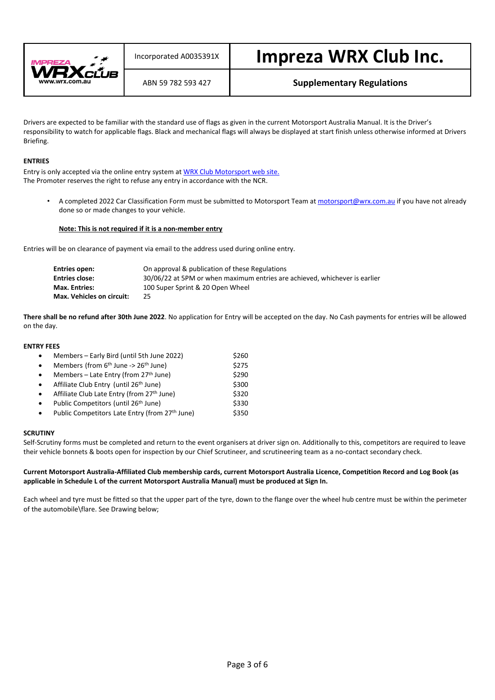

#### ABN 59 782 593 427 **Supplementary Regulations**

Drivers are expected to be familiar with the standard use of flags as given in the current Motorsport Australia Manual. It is the Driver's responsibility to watch for applicable flags. Black and mechanical flags will always be displayed at start finish unless otherwise informed at Drivers Briefing.

#### **ENTRIES**

Entry is only accepted via the online entry system a[t WRX Club Motorsport web site.](http://www.wrx.com.au/motorsport) The Promoter reserves the right to refuse any entry in accordance with the NCR.

A completed 2022 Car Classification Form must be submitted to Motorsport Team a[t motorsport@wrx.com.au](mailto:motorsport@wrx.com.au) if you have not already done so or made changes to your vehicle.

#### **Note: This is not required if it is a non-member entry**

Entries will be on clearance of payment via email to the address used during online entry.

| Entries open:             | On approval & publication of these Regulations                             |
|---------------------------|----------------------------------------------------------------------------|
| <b>Entries close:</b>     | 30/06/22 at 5PM or when maximum entries are achieved, whichever is earlier |
| <b>Max. Entries:</b>      | 100 Super Sprint & 20 Open Wheel                                           |
| Max. Vehicles on circuit: | 25.                                                                        |

**There shall be no refund after 30th June 2022**. No application for Entry will be accepted on the day. No Cash payments for entries will be allowed on the day.

#### **ENTRY FEES**

| $\bullet$ | Members - Early Bird (until 5th June 2022)         | \$260 |
|-----------|----------------------------------------------------|-------|
| $\bullet$ | Members (from $6th$ June -> $26th$ June)           | \$275 |
| $\bullet$ | Members - Late Entry (from 27 <sup>th</sup> June)  | \$290 |
| $\bullet$ | Affiliate Club Entry (until 26 <sup>th</sup> June) | \$300 |
| $\bullet$ | Affiliate Club Late Entry (from 27th June)         | \$320 |
| $\bullet$ | Public Competitors (until 26 <sup>th</sup> June)   | \$330 |
| $\bullet$ | Public Competitors Late Entry (from 27th June)     | \$350 |

#### **SCRUTINY**

Self-Scrutiny forms must be completed and return to the event organisers at driver sign on. Additionally to this, competitors are required to leave their vehicle bonnets & boots open for inspection by our Chief Scrutineer, and scrutineering team as a no-contact secondary check.

#### **Current Motorsport Australia-Affiliated Club membership cards, current Motorsport Australia Licence, Competition Record and Log Book (as applicable in Schedule L of the current Motorsport Australia Manual) must be produced at Sign In.**

Each wheel and tyre must be fitted so that the upper part of the tyre, down to the flange over the wheel hub centre must be within the perimeter of the automobile\flare. See Drawing below;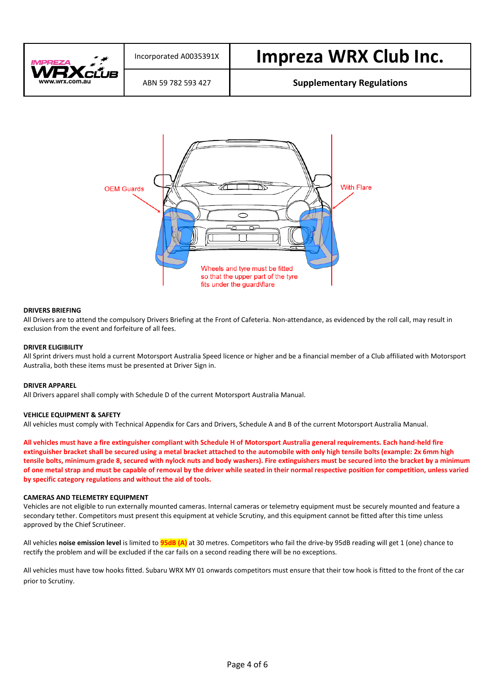



#### **DRIVERS BRIEFING**

All Drivers are to attend the compulsory Drivers Briefing at the Front of Cafeteria. Non-attendance, as evidenced by the roll call, may result in exclusion from the event and forfeiture of all fees.

#### **DRIVER ELIGIBILITY**

All Sprint drivers must hold a current Motorsport Australia Speed licence or higher and be a financial member of a Club affiliated with Motorsport Australia, both these items must be presented at Driver Sign in.

#### **DRIVER APPAREL**

All Drivers apparel shall comply with Schedule D of the current Motorsport Australia Manual.

#### **VEHICLE EQUIPMENT & SAFETY**

All vehicles must comply with Technical Appendix for Cars and Drivers, Schedule A and B of the current Motorsport Australia Manual.

**All vehicles must have a fire extinguisher compliant with Schedule H of Motorsport Australia general requirements. Each hand-held fire extinguisher bracket shall be secured using a metal bracket attached to the automobile with only high tensile bolts (example: 2x 6mm high tensile bolts, minimum grade 8, secured with nylock nuts and body washers). Fire extinguishers must be secured into the bracket by a minimum of one metal strap and must be capable of removal by the driver while seated in their normal respective position for competition, unless varied by specific category regulations and without the aid of tools.**

#### **CAMERAS AND TELEMETRY EQUIPMENT**

Vehicles are not eligible to run externally mounted cameras. Internal cameras or telemetry equipment must be securely mounted and feature a secondary tether. Competitors must present this equipment at vehicle Scrutiny, and this equipment cannot be fitted after this time unless approved by the Chief Scrutineer.

All vehicles **noise emission level** is limited to **95dB (A)** at 30 metres. Competitors who fail the drive-by 95dB reading will get 1 (one) chance to rectify the problem and will be excluded if the car fails on a second reading there will be no exceptions.

All vehicles must have tow hooks fitted. Subaru WRX MY 01 onwards competitors must ensure that their tow hook is fitted to the front of the car prior to Scrutiny.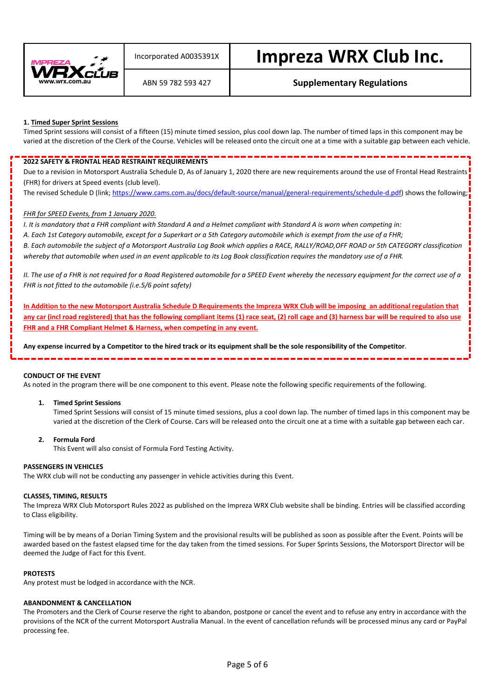

### ABN 59 782 593 427 **Supplementary Regulations**

#### **1. Timed Super Sprint Sessions**

Timed Sprint sessions will consist of a fifteen (15) minute timed session, plus cool down lap. The number of timed laps in this component may be varied at the discretion of the Clerk of the Course. Vehicles will be released onto the circuit one at a time with a suitable gap between each vehicle.

#### **2022 SAFETY & FRONTAL HEAD RESTRAINT REQUIREMENTS**

Due to a revision in Motorsport Australia Schedule D, As of January 1, 2020 there are new requirements around the use of Frontal Head Restraints (FHR) for drivers at Speed events (club level).

The revised Schedule D (link[; https://www.cams.com.au/docs/default-source/manual/general-requirements/schedule-d.pdf\)](https://www.wrx.com.au/EmailTracker/LinkTracker.ashx?linkAndRecipientCode=caeEKEOobmWO9eMiDNhdOVxb1wUVAPH0wPNcuHs5E0CsPwbIiGgDhAsHcHlEwf7HlhCTKAnY0iISv8ecRQ1HdU6wA5co6AGesLQmpSjMg8c%3d) shows the following;

#### *FHR for SPEED Events, from 1 January 2020.*

*I. It is mandatory that a FHR compliant with Standard A and a Helmet compliant with Standard A is worn when competing in:*

*A. Each 1st Category automobile, except for a Superkart or a 5th Category automobile which is exempt from the use of a FHR;*

*B. Each automobile the subject of a Motorsport Australia Log Book which applies a RACE, RALLY/ROAD,OFF ROAD or 5th CATEGORY classification whereby that automobile when used in an event applicable to its Log Book classification requires the mandatory use of a FHR.*

*II. The use of a FHR is not required for a Road Registered automobile for a SPEED Event whereby the necessary equipment for the correct use of a FHR is not fitted to the automobile (i.e.5/6 point safety)*

**In Addition to the new Motorsport Australia Schedule D Requirements the Impreza WRX Club will be imposing an additional regulation that any car (incl road registered) that has the following compliant items (1) race seat, (2) roll cage and (3) harness bar will be required to also use FHR and a FHR Compliant Helmet & Harness, when competing in any event.**

**Any expense incurred by a Competitor to the hired track or its equipment shall be the sole responsibility of the Competitor**.

#### **CONDUCT OF THE EVENT**

As noted in the program there will be one component to this event. Please note the following specific requirements of the following.

#### **1. Timed Sprint Sessions**

Timed Sprint Sessions will consist of 15 minute timed sessions, plus a cool down lap. The number of timed laps in this component may be varied at the discretion of the Clerk of Course. Cars will be released onto the circuit one at a time with a suitable gap between each car.

#### **2. Formula Ford**

This Event will also consist of Formula Ford Testing Activity.

#### **PASSENGERS IN VEHICLES**

The WRX club will not be conducting any passenger in vehicle activities during this Event.

#### **CLASSES, TIMING, RESULTS**

The Impreza WRX Club Motorsport Rules 2022 as published on the Impreza WRX Club website shall be binding. Entries will be classified according to Class eligibility.

Timing will be by means of a Dorian Timing System and the provisional results will be published as soon as possible after the Event. Points will be awarded based on the fastest elapsed time for the day taken from the timed sessions. For Super Sprints Sessions, the Motorsport Director will be deemed the Judge of Fact for this Event.

#### **PROTESTS**

Any protest must be lodged in accordance with the NCR.

#### **ABANDONMENT & CANCELLATION**

The Promoters and the Clerk of Course reserve the right to abandon, postpone or cancel the event and to refuse any entry in accordance with the provisions of the NCR of the current Motorsport Australia Manual. In the event of cancellation refunds will be processed minus any card or PayPal processing fee.